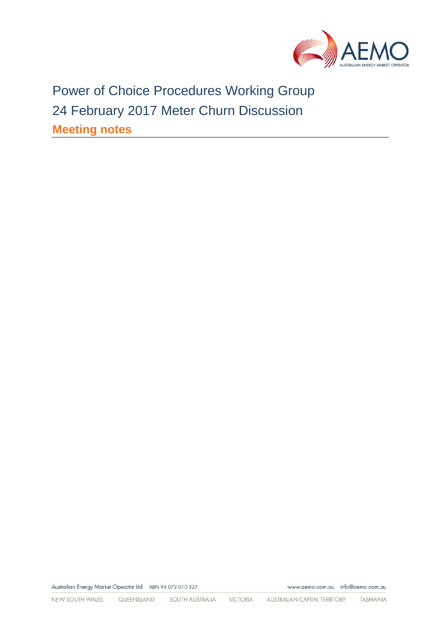

Power of Choice Procedures Working Group 24 February 2017 Meter Churn Discussion **Meeting notes**

Australian Energy Market Operator Ltd ABN 94 072 010 327

www.aemo.com.au info@aemo.com.au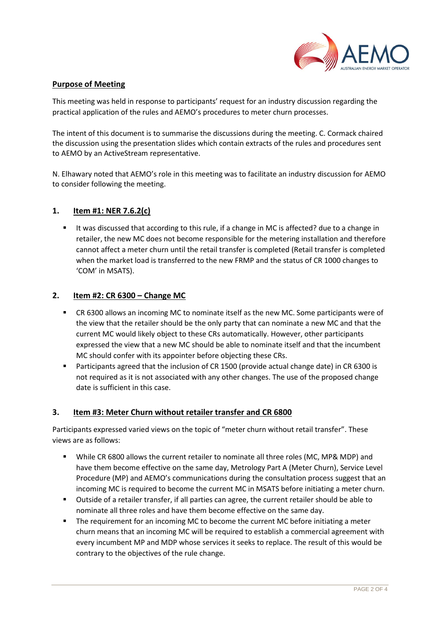

# **Purpose of Meeting**

This meeting was held in response to participants' request for an industry discussion regarding the practical application of the rules and AEMO's procedures to meter churn processes.

The intent of this document is to summarise the discussions during the meeting. C. Cormack chaired the discussion using the presentation slides which contain extracts of the rules and procedures sent to AEMO by an ActiveStream representative.

N. Elhawary noted that AEMO's role in this meeting was to facilitate an industry discussion for AEMO to consider following the meeting.

### **1. Item #1: NER 7.6.2(c)**

 It was discussed that according to this rule, if a change in MC is affected? due to a change in retailer, the new MC does not become responsible for the metering installation and therefore cannot affect a meter churn until the retail transfer is completed (Retail transfer is completed when the market load is transferred to the new FRMP and the status of CR 1000 changes to 'COM' in MSATS).

### **2. Item #2: CR 6300 – Change MC**

- CR 6300 allows an incoming MC to nominate itself as the new MC. Some participants were of the view that the retailer should be the only party that can nominate a new MC and that the current MC would likely object to these CRs automatically. However, other participants expressed the view that a new MC should be able to nominate itself and that the incumbent MC should confer with its appointer before objecting these CRs.
- **Participants agreed that the inclusion of CR 1500 (provide actual change date) in CR 6300 is** not required as it is not associated with any other changes. The use of the proposed change date is sufficient in this case.

# **3. Item #3: Meter Churn without retailer transfer and CR 6800**

Participants expressed varied views on the topic of "meter churn without retail transfer". These views are as follows:

- While CR 6800 allows the current retailer to nominate all three roles (MC, MP& MDP) and have them become effective on the same day, Metrology Part A (Meter Churn), Service Level Procedure (MP) and AEMO's communications during the consultation process suggest that an incoming MC is required to become the current MC in MSATS before initiating a meter churn.
- Outside of a retailer transfer, if all parties can agree, the current retailer should be able to nominate all three roles and have them become effective on the same day.
- The requirement for an incoming MC to become the current MC before initiating a meter churn means that an incoming MC will be required to establish a commercial agreement with every incumbent MP and MDP whose services it seeks to replace. The result of this would be contrary to the objectives of the rule change.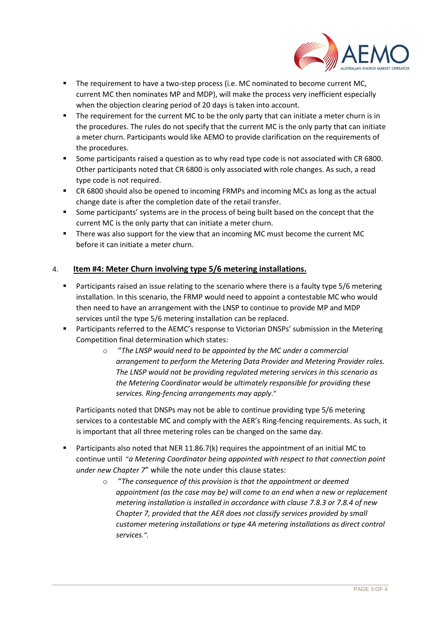

- **The requirement to have a two-step process (i.e. MC nominated to become current MC,** current MC then nominates MP and MDP), will make the process very inefficient especially when the objection clearing period of 20 days is taken into account.
- The requirement for the current MC to be the only party that can initiate a meter churn is in the procedures. The rules do not specify that the current MC is the only party that can initiate a meter churn. Participants would like AEMO to provide clarification on the requirements of the procedures.
- Some participants raised a question as to why read type code is not associated with CR 6800. Other participants noted that CR 6800 is only associated with role changes. As such, a read type code is not required.
- CR 6800 should also be opened to incoming FRMPs and incoming MCs as long as the actual change date is after the completion date of the retail transfer.
- **Some participants' systems are in the process of being built based on the concept that the** current MC is the only party that can initiate a meter churn.
- There was also support for the view that an incoming MC must become the current MC before it can initiate a meter churn.

# 4. **Item #4: Meter Churn involving type 5/6 metering installations.**

- **Participants raised an issue relating to the scenario where there is a faulty type 5/6 metering** installation. In this scenario, the FRMP would need to appoint a contestable MC who would then need to have an arrangement with the LNSP to continue to provide MP and MDP services until the type 5/6 metering installation can be replaced.
- **Participants referred to the AEMC's response to Victorian DNSPs' submission in the Metering** Competition final determination which states:
	- o "*The LNSP would need to be appointed by the MC under a commercial arrangement to perform the Metering Data Provider and Metering Provider roles. The LNSP would not be providing regulated metering services in this scenario as the Metering Coordinator would be ultimately responsible for providing these services. Ring-fencing arrangements may apply*."

Participants noted that DNSPs may not be able to continue providing type 5/6 metering services to a contestable MC and comply with the AER's Ring-fencing requirements. As such, it is important that all three metering roles can be changed on the same day.

- Participants also noted that NER 11.86.7(k) requires the appointment of an initial MC to continue until "*a Metering Coordinator being appointed with respect to that connection point under new Chapter 7*" while the note under this clause states:
	- o "*The consequence of this provision is that the appointment or deemed appointment (as the case may be) will come to an end when a new or replacement metering installation is installed in accordance with clause 7.8.3 or 7.8.4 of new Chapter 7, provided that the AER does not classify services provided by small customer metering installations or type 4A metering installations as direct control services.".*